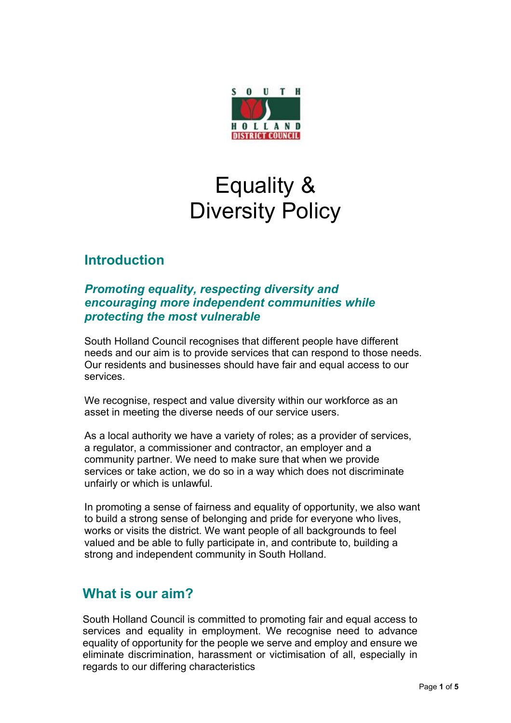

# Equality & Diversity Policy

# **Introduction**

#### *Promoting equality, respecting diversity and encouraging more independent communities while protecting the most vulnerable*

South Holland Council recognises that different people have different needs and our aim is to provide services that can respond to those needs. Our residents and businesses should have fair and equal access to our services.

We recognise, respect and value diversity within our workforce as an asset in meeting the diverse needs of our service users.

As a local authority we have a variety of roles; as a provider of services, a regulator, a commissioner and contractor, an employer and a community partner. We need to make sure that when we provide services or take action, we do so in a way which does not discriminate unfairly or which is unlawful.

In promoting a sense of fairness and equality of opportunity, we also want to build a strong sense of belonging and pride for everyone who lives, works or visits the district. We want people of all backgrounds to feel valued and be able to fully participate in, and contribute to, building a strong and independent community in South Holland.

## **What is our aim?**

South Holland Council is committed to promoting fair and equal access to services and equality in employment. We recognise need to advance equality of opportunity for the people we serve and employ and ensure we eliminate discrimination, harassment or victimisation of all, especially in regards to our differing characteristics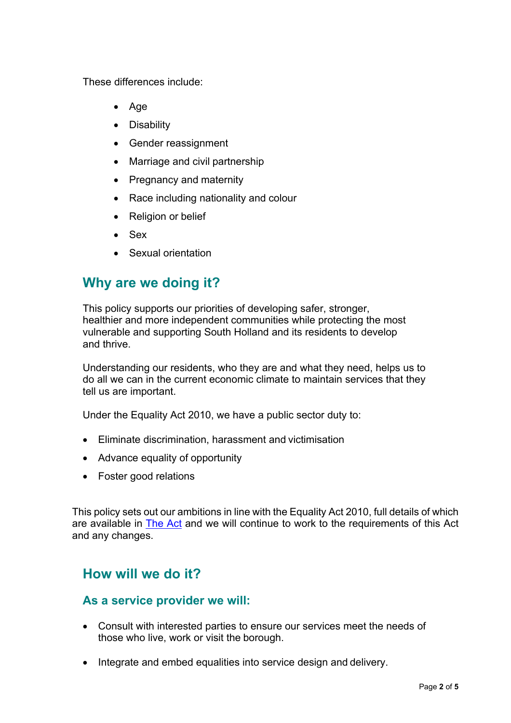These differences include:

- Age
- Disability
- Gender reassignment
- Marriage and civil partnership
- Pregnancy and maternity
- Race including nationality and colour
- Religion or belief
- Sex
- Sexual orientation

# **Why are we doing it?**

This policy supports our priorities of developing safer, stronger, healthier and more independent communities while protecting the most vulnerable and supporting South Holland and its residents to develop and thrive.

Understanding our residents, who they are and what they need, helps us to do all we can in the current economic climate to maintain services that they tell us are important.

Under the Equality Act 2010, we have a public sector duty to:

- Eliminate discrimination, harassment and victimisation
- Advance equality of opportunity
- Foster good relations

This policy sets out our ambitions in line with the Equality Act 2010, full details of which are available in [The](http://www.legislation.gov.uk/ukpga/2010/15/contents) Act and we will continue to work to the requirements of this Act and any changes.

## **How will we do it?**

#### **As a service provider we will:**

- Consult with interested parties to ensure our services meet the needs of those who live, work or visit the borough.
- Integrate and embed equalities into service design and delivery.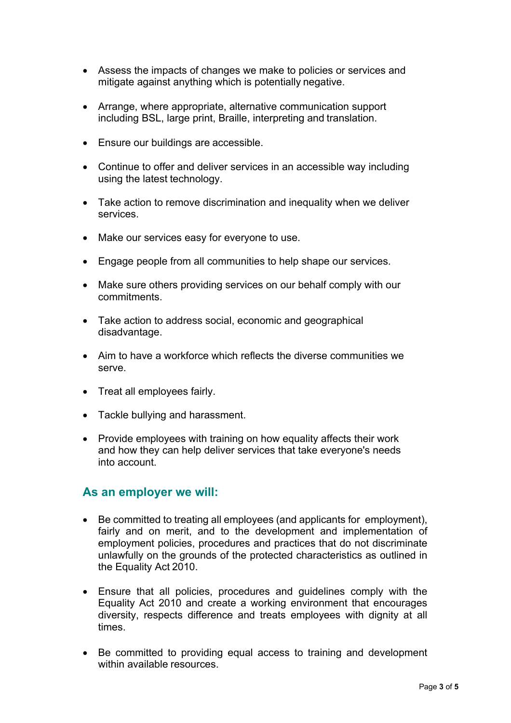- Assess the impacts of changes we make to policies or services and mitigate against anything which is potentially negative.
- Arrange, where appropriate, alternative communication support including BSL, large print, Braille, interpreting and translation.
- Ensure our buildings are accessible.
- Continue to offer and deliver services in an accessible way including using the latest technology.
- Take action to remove discrimination and inequality when we deliver services.
- Make our services easy for everyone to use.
- Engage people from all communities to help shape our services.
- Make sure others providing services on our behalf comply with our commitments.
- Take action to address social, economic and geographical disadvantage.
- Aim to have a workforce which reflects the diverse communities we serve.
- Treat all employees fairly.
- Tackle bullying and harassment.
- Provide employees with training on how equality affects their work and how they can help deliver services that take everyone's needs into account.

#### **As an employer we will:**

- Be committed to treating all employees (and applicants for employment), fairly and on merit, and to the development and implementation of employment policies, procedures and practices that do not discriminate unlawfully on the grounds of the protected characteristics as outlined in the Equality Act 2010.
- Ensure that all policies, procedures and guidelines comply with the Equality Act 2010 and create a working environment that encourages diversity, respects difference and treats employees with dignity at all times.
- Be committed to providing equal access to training and development within available resources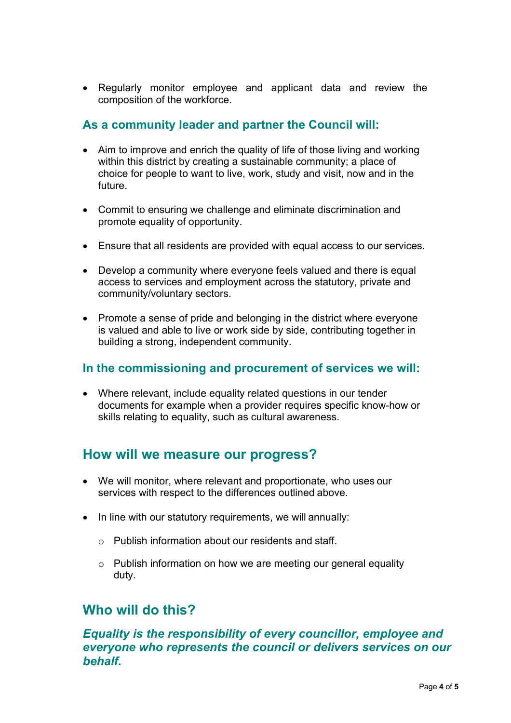Regularly monitor employee and applicant data and review the composition of the workforce.

#### **As a community leader and partner the Council will:**

- Aim to improve and enrich the quality of life of those living and working within this district by creating a sustainable community; a place of choice for people to want to live, work, study and visit, now and in the future.
- Commit to ensuring we challenge and eliminate discrimination and promote equality of opportunity.
- Ensure that all residents are provided with equal access to our services.
- Develop a community where everyone feels valued and there is equal access to services and employment across the statutory, private and community/voluntary sectors.
- Promote a sense of pride and belonging in the district where everyone is valued and able to live or work side by side, contributing together in building a strong, independent community.

#### **In the commissioning and procurement of services we will:**

 Where relevant, include equality related questions in our tender documents for example when a provider requires specific know-how or skills relating to equality, such as cultural awareness.

## **How will we measure our progress?**

- We will monitor, where relevant and proportionate, who uses our services with respect to the differences outlined above.
- In line with our statutory requirements, we will annually:
	- $\circ$  Publish information about our residents and staff.
	- $\circ$  Publish information on how we are meeting our general equality duty.

## **Who will do this?**

*Equality is the responsibility of every councillor, employee and everyone who represents the council or delivers services on our behalf.*